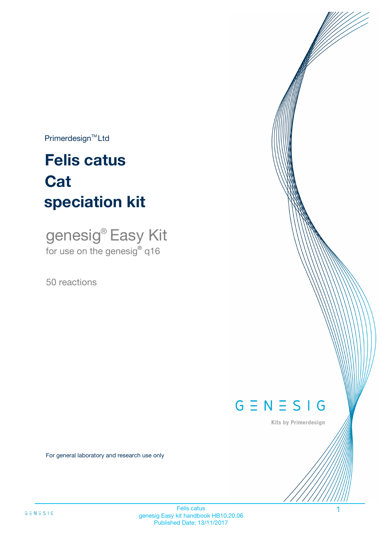$Primerdesign^{\text{TM}}Ltd$ 

# **Felis catus speciation kit Cat**

genesig® Easy Kit for use on the genesig**®** q16

50 reactions



Kits by Primerdesign

For general laboratory and research use only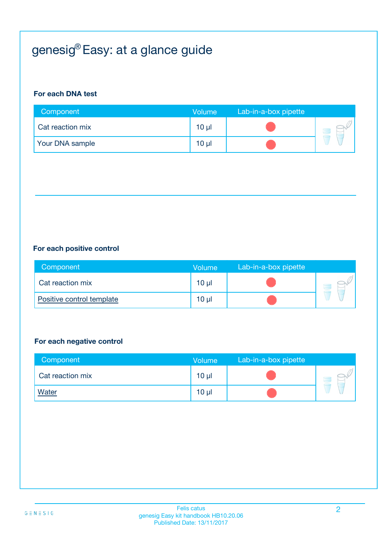# genesig® Easy: at a glance guide

#### **For each DNA test**

| Component        | Volume          | Lab-in-a-box pipette |  |
|------------------|-----------------|----------------------|--|
| Cat reaction mix | 10 <sub>µ</sub> |                      |  |
| Your DNA sample  | $10 \mu$        |                      |  |

#### **For each positive control**

| Component                 | <b>Volume</b>   | Lab-in-a-box pipette |  |
|---------------------------|-----------------|----------------------|--|
| Cat reaction mix          | 10 <sub>µ</sub> |                      |  |
| Positive control template | 10 µl           |                      |  |

#### **For each negative control**

| Component        | <b>Volume</b> | Lab-in-a-box pipette |  |
|------------------|---------------|----------------------|--|
| Cat reaction mix | $10 \mu$      |                      |  |
| <b>Water</b>     | $10 \mu$      |                      |  |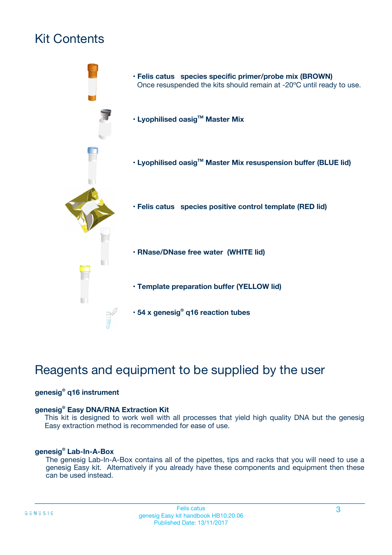# Kit Contents



# Reagents and equipment to be supplied by the user

#### **genesig® q16 instrument**

#### **genesig® Easy DNA/RNA Extraction Kit**

This kit is designed to work well with all processes that yield high quality DNA but the genesig Easy extraction method is recommended for ease of use.

#### **genesig® Lab-In-A-Box**

The genesig Lab-In-A-Box contains all of the pipettes, tips and racks that you will need to use a genesig Easy kit. Alternatively if you already have these components and equipment then these can be used instead.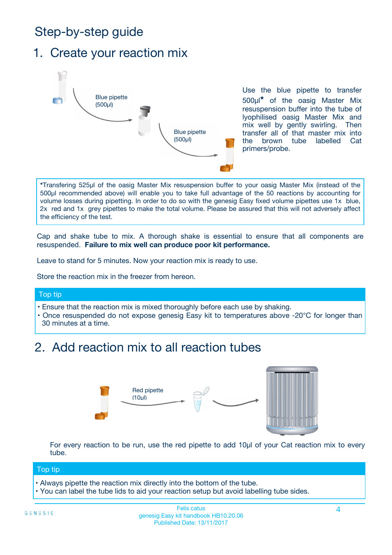# Step-by-step guide

### 1. Create your reaction mix



Use the blue pipette to transfer 500µl**\*** of the oasig Master Mix resuspension buffer into the tube of lyophilised oasig Master Mix and mix well by gently swirling. Then transfer all of that master mix into the brown tube labelled Cat primers/probe.

**\***Transfering 525µl of the oasig Master Mix resuspension buffer to your oasig Master Mix (instead of the 500µl recommended above) will enable you to take full advantage of the 50 reactions by accounting for volume losses during pipetting. In order to do so with the genesig Easy fixed volume pipettes use 1x blue, 2x red and 1x grey pipettes to make the total volume. Please be assured that this will not adversely affect the efficiency of the test.

Cap and shake tube to mix. A thorough shake is essential to ensure that all components are resuspended. **Failure to mix well can produce poor kit performance.**

Leave to stand for 5 minutes. Now your reaction mix is ready to use.

Store the reaction mix in the freezer from hereon.

#### Top tip

- Ensure that the reaction mix is mixed thoroughly before each use by shaking.
- **•** Once resuspended do not expose genesig Easy kit to temperatures above -20°C for longer than 30 minutes at a time.

## 2. Add reaction mix to all reaction tubes



For every reaction to be run, use the red pipette to add 10µl of your Cat reaction mix to every tube.

#### Top tip

- Always pipette the reaction mix directly into the bottom of the tube.
- You can label the tube lids to aid your reaction setup but avoid labelling tube sides.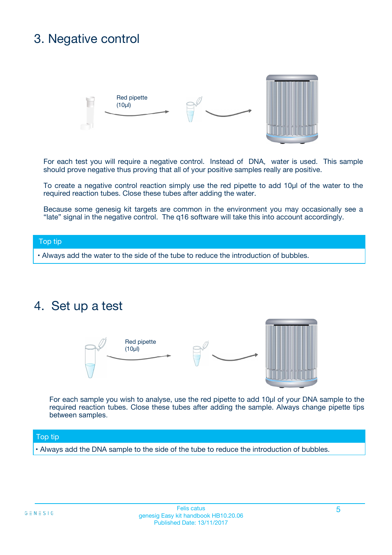# 3. Negative control



For each test you will require a negative control. Instead of DNA, water is used. This sample should prove negative thus proving that all of your positive samples really are positive.

To create a negative control reaction simply use the red pipette to add 10µl of the water to the required reaction tubes. Close these tubes after adding the water.

Because some genesig kit targets are common in the environment you may occasionally see a "late" signal in the negative control. The q16 software will take this into account accordingly.

#### Top tip

**•** Always add the water to the side of the tube to reduce the introduction of bubbles.

### 4. Set up a test



For each sample you wish to analyse, use the red pipette to add 10µl of your DNA sample to the required reaction tubes. Close these tubes after adding the sample. Always change pipette tips between samples.

#### Top tip

**•** Always add the DNA sample to the side of the tube to reduce the introduction of bubbles.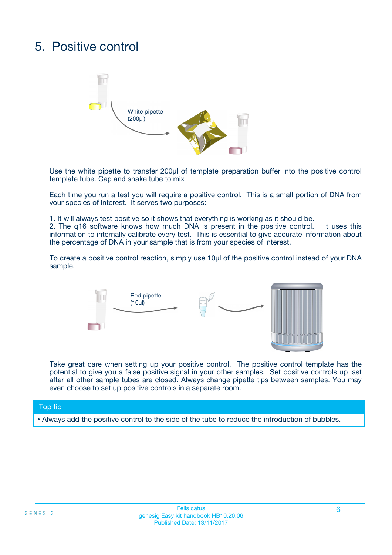# 5. Positive control



Use the white pipette to transfer 200µl of template preparation buffer into the positive control template tube. Cap and shake tube to mix.

Each time you run a test you will require a positive control. This is a small portion of DNA from your species of interest. It serves two purposes:

1. It will always test positive so it shows that everything is working as it should be.

2. The q16 software knows how much DNA is present in the positive control. It uses this information to internally calibrate every test. This is essential to give accurate information about the percentage of DNA in your sample that is from your species of interest.

To create a positive control reaction, simply use 10µl of the positive control instead of your DNA sample.



Take great care when setting up your positive control. The positive control template has the potential to give you a false positive signal in your other samples. Set positive controls up last after all other sample tubes are closed. Always change pipette tips between samples. You may even choose to set up positive controls in a separate room.

#### Top tip

**•** Always add the positive control to the side of the tube to reduce the introduction of bubbles.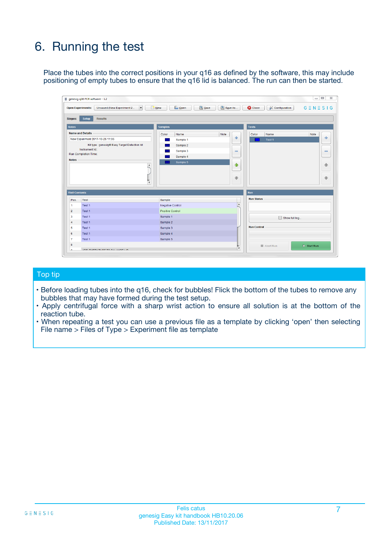# 6. Running the test

Place the tubes into the correct positions in your q16 as defined by the software, this may include positioning of empty tubes to ensure that the q16 lid is balanced. The run can then be started.

|                                    | genesig q16 PCR software - 1.2                                                    |                                     |                              |                                   | $\Box$<br>$\Sigma$           |
|------------------------------------|-----------------------------------------------------------------------------------|-------------------------------------|------------------------------|-----------------------------------|------------------------------|
|                                    | <b>Open Experiments:</b><br>Unsaved (New Experiment 2<br>$\overline{\phantom{a}}$ | <b>E</b> Open<br>Save<br>$\Box$ New | Save As                      | <b>C</b> Close<br>& Configuration | $G \equiv N \equiv S \mid G$ |
| Stages:                            | Setup<br><b>Results</b>                                                           |                                     |                              |                                   |                              |
| <b>Notes</b>                       |                                                                                   | <b>Samples</b>                      |                              | <b>Tests</b>                      |                              |
|                                    | <b>Name and Details</b>                                                           | Color<br>Name                       | Note                         | Color<br>Name                     | Note                         |
|                                    | New Experiment 2017-10-26 11:06                                                   | Sample 1                            | 유                            | Test <sub>1</sub>                 | ÷                            |
|                                    | Kit type: genesig® Easy Target Detection kit                                      | Sample 2                            |                              |                                   |                              |
|                                    | Instrument Id.:                                                                   | Sample 3                            | $\qquad \qquad \blacksquare$ |                                   | $\qquad \qquad \blacksquare$ |
|                                    | <b>Run Completion Time:</b>                                                       | Sample 4                            |                              |                                   |                              |
| <b>Notes</b>                       | $\blacktriangle$                                                                  | Sample 5                            | ♠<br>÷                       |                                   | 41<br>€                      |
| <b>Well Contents</b>               | $\overline{\mathbf{v}}$                                                           |                                     |                              | <b>Run</b>                        |                              |
| Pos.                               | <b>Test</b>                                                                       | Sample                              |                              | <b>Run Status</b>                 |                              |
| 1                                  | Test 1                                                                            | <b>Negative Control</b>             | $\blacktriangle$             |                                   |                              |
| $\overline{2}$                     | Test 1                                                                            | <b>Positive Control</b>             |                              |                                   |                              |
| 3                                  | Test 1                                                                            | Sample 1                            |                              | Show full log                     |                              |
|                                    | Test 1                                                                            | Sample 2                            |                              |                                   |                              |
|                                    |                                                                                   | Sample 3                            |                              | <b>Run Control</b>                |                              |
|                                    | Test 1                                                                            |                                     |                              |                                   |                              |
|                                    | Test 1                                                                            | Sample 4                            |                              |                                   |                              |
|                                    | Test 1                                                                            | Sample 5                            |                              |                                   |                              |
| 4<br>5<br>6<br>$\overline{7}$<br>8 |                                                                                   |                                     | $\overline{\mathbf v}$       | Abort Run                         | $\triangleright$ Start Run   |

#### Top tip

- Before loading tubes into the q16, check for bubbles! Flick the bottom of the tubes to remove any bubbles that may have formed during the test setup.
- Apply centrifugal force with a sharp wrist action to ensure all solution is at the bottom of the reaction tube.
- When repeating a test you can use a previous file as a template by clicking 'open' then selecting File name > Files of Type > Experiment file as template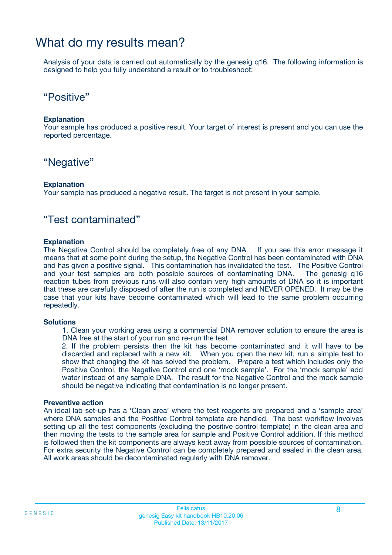### What do my results mean?

Analysis of your data is carried out automatically by the genesig q16. The following information is designed to help you fully understand a result or to troubleshoot:

### "Positive"

#### **Explanation**

Your sample has produced a positive result. Your target of interest is present and you can use the reported percentage.

### "Negative"

#### **Explanation**

Your sample has produced a negative result. The target is not present in your sample.

### "Test contaminated"

#### **Explanation**

The Negative Control should be completely free of any DNA. If you see this error message it means that at some point during the setup, the Negative Control has been contaminated with DNA and has given a positive signal. This contamination has invalidated the test. The Positive Control and your test samples are both possible sources of contaminating DNA. The genesig q16 reaction tubes from previous runs will also contain very high amounts of DNA so it is important that these are carefully disposed of after the run is completed and NEVER OPENED. It may be the case that your kits have become contaminated which will lead to the same problem occurring repeatedly.

#### **Solutions**

1. Clean your working area using a commercial DNA remover solution to ensure the area is DNA free at the start of your run and re-run the test

2. If the problem persists then the kit has become contaminated and it will have to be discarded and replaced with a new kit. When you open the new kit, run a simple test to show that changing the kit has solved the problem. Prepare a test which includes only the Positive Control, the Negative Control and one 'mock sample'. For the 'mock sample' add water instead of any sample DNA. The result for the Negative Control and the mock sample should be negative indicating that contamination is no longer present.

#### **Preventive action**

An ideal lab set-up has a 'Clean area' where the test reagents are prepared and a 'sample area' where DNA samples and the Positive Control template are handled. The best workflow involves setting up all the test components (excluding the positive control template) in the clean area and then moving the tests to the sample area for sample and Positive Control addition. If this method is followed then the kit components are always kept away from possible sources of contamination. For extra security the Negative Control can be completely prepared and sealed in the clean area. All work areas should be decontaminated regularly with DNA remover.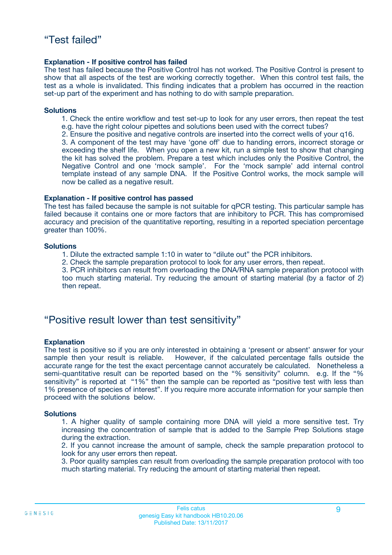#### **Explanation - If positive control has failed**

The test has failed because the Positive Control has not worked. The Positive Control is present to show that all aspects of the test are working correctly together. When this control test fails, the test as a whole is invalidated. This finding indicates that a problem has occurred in the reaction set-up part of the experiment and has nothing to do with sample preparation.

#### **Solutions**

- 1. Check the entire workflow and test set-up to look for any user errors, then repeat the test e.g. have the right colour pipettes and solutions been used with the correct tubes?
- 2. Ensure the positive and negative controls are inserted into the correct wells of your q16.

3. A component of the test may have 'gone off' due to handing errors, incorrect storage or exceeding the shelf life. When you open a new kit, run a simple test to show that changing the kit has solved the problem. Prepare a test which includes only the Positive Control, the Negative Control and one 'mock sample'. For the 'mock sample' add internal control template instead of any sample DNA. If the Positive Control works, the mock sample will now be called as a negative result.

#### **Explanation - If positive control has passed**

The test has failed because the sample is not suitable for qPCR testing. This particular sample has failed because it contains one or more factors that are inhibitory to PCR. This has compromised accuracy and precision of the quantitative reporting, resulting in a reported speciation percentage greater than 100%.

#### **Solutions**

- 1. Dilute the extracted sample 1:10 in water to "dilute out" the PCR inhibitors.
- 2. Check the sample preparation protocol to look for any user errors, then repeat.

3. PCR inhibitors can result from overloading the DNA/RNA sample preparation protocol with too much starting material. Try reducing the amount of starting material (by a factor of 2) then repeat.

### "Positive result lower than test sensitivity"

#### **Explanation**

The test is positive so if you are only interested in obtaining a 'present or absent' answer for your sample then your result is reliable. However, if the calculated percentage falls outside the accurate range for the test the exact percentage cannot accurately be calculated. Nonetheless a semi-quantitative result can be reported based on the "% sensitivity" column. e.g. If the "% sensitivity" is reported at "1%" then the sample can be reported as "positive test with less than 1% presence of species of interest". If you require more accurate information for your sample then proceed with the solutions below.

#### **Solutions**

1. A higher quality of sample containing more DNA will yield a more sensitive test. Try increasing the concentration of sample that is added to the Sample Prep Solutions stage during the extraction.

2. If you cannot increase the amount of sample, check the sample preparation protocol to look for any user errors then repeat.

3. Poor quality samples can result from overloading the sample preparation protocol with too much starting material. Try reducing the amount of starting material then repeat.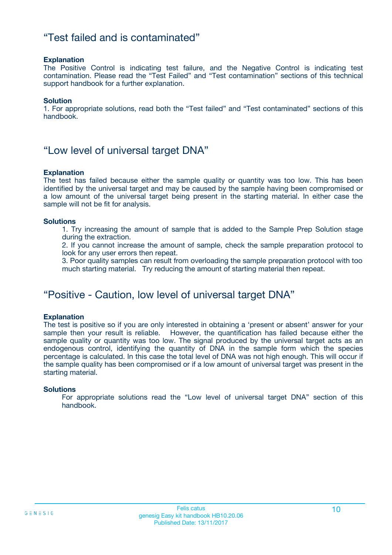### "Test failed and is contaminated"

#### **Explanation**

The Positive Control is indicating test failure, and the Negative Control is indicating test contamination. Please read the "Test Failed" and "Test contamination" sections of this technical support handbook for a further explanation.

#### **Solution**

1. For appropriate solutions, read both the "Test failed" and "Test contaminated" sections of this handbook.

### "Low level of universal target DNA"

#### **Explanation**

The test has failed because either the sample quality or quantity was too low. This has been identified by the universal target and may be caused by the sample having been compromised or a low amount of the universal target being present in the starting material. In either case the sample will not be fit for analysis.

#### **Solutions**

1. Try increasing the amount of sample that is added to the Sample Prep Solution stage during the extraction.

2. If you cannot increase the amount of sample, check the sample preparation protocol to look for any user errors then repeat.

3. Poor quality samples can result from overloading the sample preparation protocol with too much starting material. Try reducing the amount of starting material then repeat.

### "Positive - Caution, low level of universal target DNA"

#### **Explanation**

The test is positive so if you are only interested in obtaining a 'present or absent' answer for your sample then your result is reliable. However, the quantification has failed because either the sample quality or quantity was too low. The signal produced by the universal target acts as an endogenous control, identifying the quantity of DNA in the sample form which the species percentage is calculated. In this case the total level of DNA was not high enough. This will occur if the sample quality has been compromised or if a low amount of universal target was present in the starting material.

#### **Solutions**

For appropriate solutions read the "Low level of universal target DNA" section of this handbook.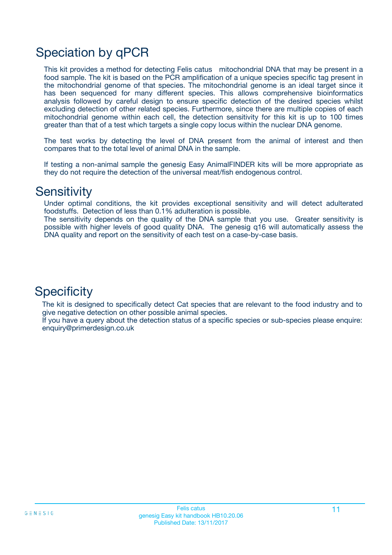# Speciation by qPCR

This kit provides a method for detecting Felis catus mitochondrial DNA that may be present in a food sample. The kit is based on the PCR amplification of a unique species specific tag present in the mitochondrial genome of that species. The mitochondrial genome is an ideal target since it has been sequenced for many different species. This allows comprehensive bioinformatics analysis followed by careful design to ensure specific detection of the desired species whilst excluding detection of other related species. Furthermore, since there are multiple copies of each mitochondrial genome within each cell, the detection sensitivity for this kit is up to 100 times greater than that of a test which targets a single copy locus within the nuclear DNA genome.

The test works by detecting the level of DNA present from the animal of interest and then compares that to the total level of animal DNA in the sample.

If testing a non-animal sample the genesig Easy AnimalFINDER kits will be more appropriate as they do not require the detection of the universal meat/fish endogenous control.

### **Sensitivity**

Under optimal conditions, the kit provides exceptional sensitivity and will detect adulterated foodstuffs. Detection of less than 0.1% adulteration is possible.

The sensitivity depends on the quality of the DNA sample that you use. Greater sensitivity is possible with higher levels of good quality DNA. The genesig q16 will automatically assess the DNA quality and report on the sensitivity of each test on a case-by-case basis.

### **Specificity**

The kit is designed to specifically detect Cat species that are relevant to the food industry and to give negative detection on other possible animal species.

If you have a query about the detection status of a specific species or sub-species please enquire: enquiry@primerdesign.co.uk